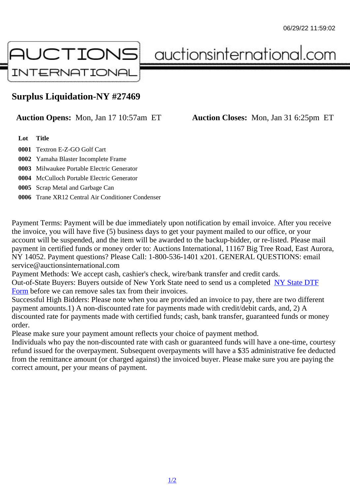## Surplus Liquidation-NY #27469

## Auction Opens: Mon, Jan 17 10:57am ET Auction Closes: Mon, Jan 31 6:25pm ET

Lot Title

0001 Textron E-Z-GO Golf Cart

0002 Yamaha Blaster Incomplete Frame

0003 Milwaukee Portable Electric Generator

0004 McCulloch Portable Electric Generator

0005 Scrap Metal and Garbage Can

0006 Trane XR12 Central Air Conditioner Condenser

Payment Terms: Payment will be due immediately upon notification by email invoice. After you receive the invoice, you will have five (5) business days to get your payment mailed to our office, or your account will be suspended, and the item will be awarded to the backup-bidder, or re-listed. Please mail payment in certified funds or money order to: Auctions International, 11167 Big Tree Road, East Aurora NY 14052. Payment questions? Please Call: 1-800-536-1401 x201. GENERAL QUESTIONS: email service@auctionsinternational.com

Payment Methods: We accept cash, cashier's check, wire/bank transfer and credit cards. Out-of-State Buyers: Buyers outside of New York State need to send us a complered NTF Form before we can remove sales tax from their invoices.

Successful High Bidders: Please note when you are provided an invoice to pay, there are two different payment amounts.1) A non-discounted rate for payments made with credit/de[bit cards, and](https://www.auctionsinternational.com/auxiliary/downloads/DTF_Form/dtf_fill_in.pdf), 2) A [disco](https://www.auctionsinternational.com/auxiliary/downloads/DTF_Form/dtf_fill_in.pdf)unted rate for payments made with certified funds; cash, bank transfer, guaranteed funds or mone order.

Please make sure your payment amount reflects your choice of payment method.

Individuals who pay the non-discounted rate with cash or guaranteed funds will have a one-time, courte refund issued for the overpayment. Subsequent overpayments will have a \$35 administrative fee deduc from the remittance amount (or charged against) the invoiced buyer. Please make sure you are paying correct amount, per your means of payment.